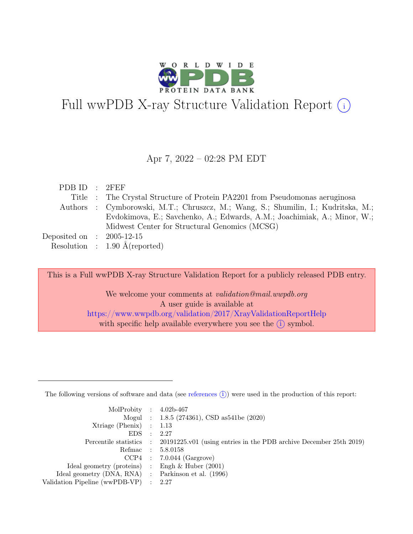

# Full wwPDB X-ray Structure Validation Report  $\bigcirc$

#### Apr 7, 2022 – 02:28 PM EDT

| PDB ID : 2FEF               |                                                                                   |
|-----------------------------|-----------------------------------------------------------------------------------|
|                             | Title : The Crystal Structure of Protein PA2201 from Pseudomonas aeruginosa       |
|                             | Authors : Cymborowski, M.T.; Chruszcz, M.; Wang, S.; Shumilin, I.; Kudritska, M.; |
|                             | Evdokimova, E.; Savchenko, A.; Edwards, A.M.; Joachimiak, A.; Minor, W.;          |
|                             | Midwest Center for Structural Genomics (MCSG)                                     |
| Deposited on : $2005-12-15$ |                                                                                   |
|                             | Resolution : $1.90 \text{ Å}$ (reported)                                          |

This is a Full wwPDB X-ray Structure Validation Report for a publicly released PDB entry.

We welcome your comments at validation@mail.wwpdb.org A user guide is available at <https://www.wwpdb.org/validation/2017/XrayValidationReportHelp> with specific help available everywhere you see the  $(i)$  symbol.

The following versions of software and data (see [references](https://www.wwpdb.org/validation/2017/XrayValidationReportHelp#references)  $(i)$ ) were used in the production of this report:

| MolProbity : $4.02b-467$                            |                |                                                                                            |
|-----------------------------------------------------|----------------|--------------------------------------------------------------------------------------------|
|                                                     |                | Mogul : 1.8.5 (274361), CSD as 541be (2020)                                                |
| $Xtriangle (Phenix)$ : 1.13                         |                |                                                                                            |
| EDS                                                 | $\mathbb{R}^2$ | - 2.27                                                                                     |
|                                                     |                | Percentile statistics : 20191225.v01 (using entries in the PDB archive December 25th 2019) |
|                                                     |                | Refmac : 5.8.0158                                                                          |
|                                                     |                | $CCP4$ : 7.0.044 (Gargrove)                                                                |
| Ideal geometry (proteins) : Engh $\&$ Huber (2001)  |                |                                                                                            |
| Ideal geometry (DNA, RNA) : Parkinson et al. (1996) |                |                                                                                            |
| Validation Pipeline (wwPDB-VP) : 2.27               |                |                                                                                            |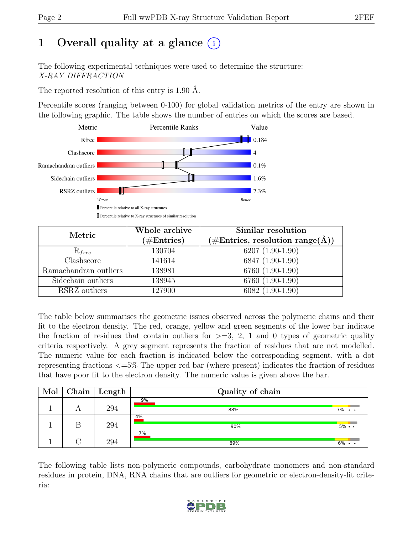# 1 Overall quality at a glance  $(i)$

The following experimental techniques were used to determine the structure: X-RAY DIFFRACTION

The reported resolution of this entry is 1.90 Å.

Percentile scores (ranging between 0-100) for global validation metrics of the entry are shown in the following graphic. The table shows the number of entries on which the scores are based.



| Metric                | Whole archive<br>$(\#Entries)$ | Similar resolution<br>$(\#Entries, resolution range(A))$ |
|-----------------------|--------------------------------|----------------------------------------------------------|
| $R_{free}$            | 130704                         | $6207(1.90-1.90)$                                        |
| Clashscore            | 141614                         | 6847 (1.90-1.90)                                         |
| Ramachandran outliers | 138981                         | 6760 (1.90-1.90)                                         |
| Sidechain outliers    | 138945                         | 6760 (1.90-1.90)                                         |
| RSRZ outliers         | 127900                         | $6082(1.90-1.90)$                                        |

The table below summarises the geometric issues observed across the polymeric chains and their fit to the electron density. The red, orange, yellow and green segments of the lower bar indicate the fraction of residues that contain outliers for  $\geq$ =3, 2, 1 and 0 types of geometric quality criteria respectively. A grey segment represents the fraction of residues that are not modelled. The numeric value for each fraction is indicated below the corresponding segment, with a dot representing fractions <=5% The upper red bar (where present) indicates the fraction of residues that have poor fit to the electron density. The numeric value is given above the bar.

| Mol | Chain | Length | Quality of chain |                   |
|-----|-------|--------|------------------|-------------------|
|     |       | 294    | 9%<br>88%        | $7\%$             |
|     |       | 294    | 4%<br>90%        | $5\% \cdot \cdot$ |
|     |       | 294    | $7\%$<br>89%     | $6\%$             |

The following table lists non-polymeric compounds, carbohydrate monomers and non-standard residues in protein, DNA, RNA chains that are outliers for geometric or electron-density-fit criteria:

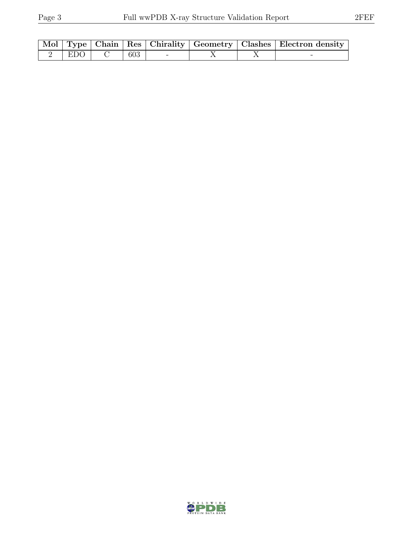|                            |     |  | Mol   Type   Chain   Res   Chirality   Geometry   Clashes   Electron density |
|----------------------------|-----|--|------------------------------------------------------------------------------|
| $\angle$   EDO   $\subset$ | 603 |  |                                                                              |

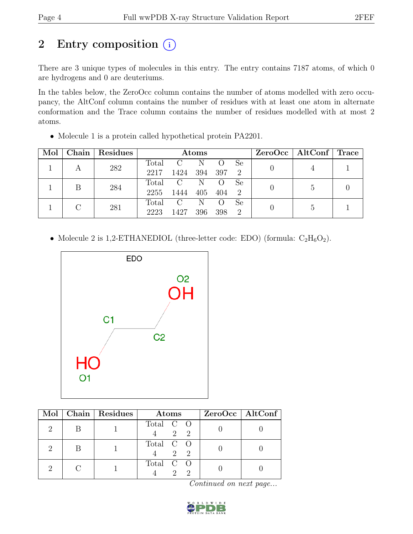# 2 Entry composition  $(i)$

There are 3 unique types of molecules in this entry. The entry contains 7187 atoms, of which 0 are hydrogens and 0 are deuteriums.

In the tables below, the ZeroOcc column contains the number of atoms modelled with zero occupancy, the AltConf column contains the number of residues with at least one atom in alternate conformation and the Trace column contains the number of residues modelled with at most 2 atoms.

| Mol |     | Chain   Residues |              | Atoms          |     |                |               |   | $ZeroOcc \mid AltConf \mid$ | <b>Trace</b> |
|-----|-----|------------------|--------------|----------------|-----|----------------|---------------|---|-----------------------------|--------------|
|     |     | 282              | Total        | $\overline{C}$ | N   |                | -Se           |   |                             |              |
|     | A   |                  | 2217         | 1424           | 394 | - 397          | $\mathcal{D}$ |   |                             |              |
|     |     |                  | Total        | $\mathbf C$    | N   |                | Se            |   |                             |              |
|     | 284 | 2255             | 1444         | 405            | 404 | $\overline{2}$ |               | 5 |                             |              |
|     | 281 | Total            | $\mathbf{C}$ | N              |     | <sub>Se</sub>  |               | 5 |                             |              |
|     |     | 2223             | 1427         | 396            | 398 | $\mathcal{D}$  |               |   |                             |              |

• Molecule 1 is a protein called hypothetical protein PA2201.

• Molecule 2 is 1,2-ETHANEDIOL (three-letter code: EDO) (formula:  $C_2H_6O_2$ ).



|  | Mol   Chain   Residues | Atoms                                                      | $ZeroOcc \   \$ AltConf |
|--|------------------------|------------------------------------------------------------|-------------------------|
|  |                        | Total C O<br>2 2                                           |                         |
|  |                        | Total C O<br>2 2                                           |                         |
|  |                        | Total C O<br>$\mathcal{D}_{\mathcal{L}}$<br>$\overline{2}$ |                         |

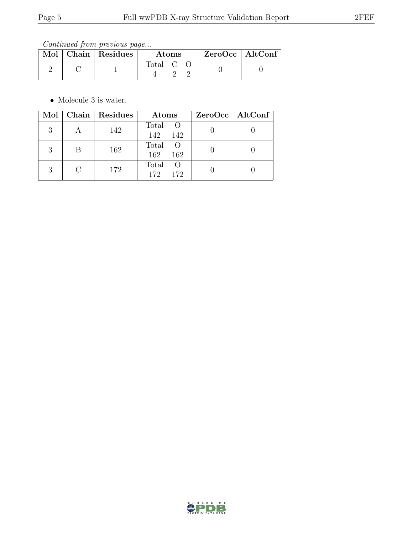Continued from previous page...

|  | Mol   Chain   Residues | <b>Atoms</b> |  |  | $ZeroOcc \   \$ AltConf |  |
|--|------------------------|--------------|--|--|-------------------------|--|
|  |                        | Total C      |  |  |                         |  |

• Molecule 3 is water.

| Mol |   | Chain   Residues | Atoms                               | ZeroOcc   AltConf |
|-----|---|------------------|-------------------------------------|-------------------|
| 3   |   | 142              | Total<br><sup>O</sup><br>142<br>142 |                   |
| 3   | В | 162              | Total<br>162<br>162                 |                   |
| 3   |   | 172              | Total<br>$\cup$<br>172<br>172       |                   |

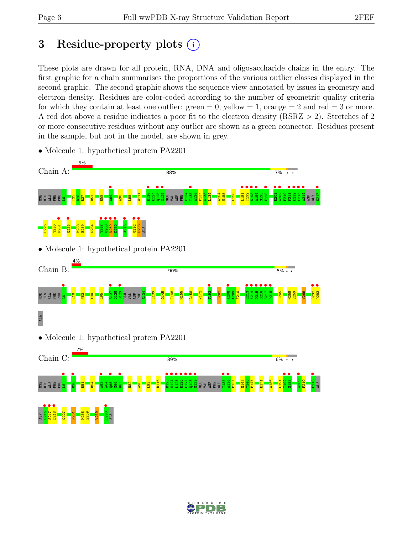# 3 Residue-property plots  $(i)$

These plots are drawn for all protein, RNA, DNA and oligosaccharide chains in the entry. The first graphic for a chain summarises the proportions of the various outlier classes displayed in the second graphic. The second graphic shows the sequence view annotated by issues in geometry and electron density. Residues are color-coded according to the number of geometric quality criteria for which they contain at least one outlier:  $green = 0$ , yellow  $= 1$ , orange  $= 2$  and red  $= 3$  or more. A red dot above a residue indicates a poor fit to the electron density (RSRZ > 2). Stretches of 2 or more consecutive residues without any outlier are shown as a green connector. Residues present in the sample, but not in the model, are shown in grey.



• Molecule 1: hypothetical protein PA2201

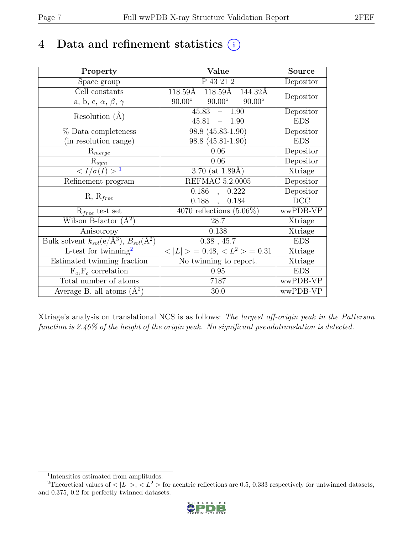# 4 Data and refinement statistics  $(i)$

| Property                                                         | Value                                           | <b>Source</b> |
|------------------------------------------------------------------|-------------------------------------------------|---------------|
| Space group                                                      | P 43 21 2                                       | Depositor     |
| Cell constants                                                   | 118.59Å<br>118.59Å<br>144.32Å                   | Depositor     |
| a, b, c, $\alpha$ , $\beta$ , $\gamma$                           | $90.00^\circ$<br>$90.00^\circ$<br>$90.00^\circ$ |               |
| Resolution $(A)$                                                 | 45.83<br>$-1.90$                                | Depositor     |
|                                                                  | 45.81<br>$-1.90$                                | <b>EDS</b>    |
| % Data completeness                                              | 98.8 (45.83-1.90)                               | Depositor     |
| (in resolution range)                                            | 98.8 (45.81-1.90)                               | <b>EDS</b>    |
| $R_{merge}$                                                      | 0.06                                            | Depositor     |
| $\mathrm{R}_{sym}$                                               | 0.06                                            | Depositor     |
| $\langle I/\sigma(I) \rangle^{-1}$                               | 3.70 (at $1.89\text{\AA}$ )                     | Xtriage       |
| Refinement program                                               | REFMAC 5.2.0005                                 | Depositor     |
|                                                                  | 0.186<br>0.222<br>$\overline{\phantom{a}}$      | Depositor     |
| $R, R_{free}$                                                    | 0.188<br>0.184<br>$\ddot{\phantom{a}}$          | DCC           |
| $R_{free}$ test set                                              | $\overline{4070}$ reflections $(5.06\%)$        | wwPDB-VP      |
| Wilson B-factor $(A^2)$                                          | 28.7                                            | Xtriage       |
| Anisotropy                                                       | 0.138                                           | Xtriage       |
| Bulk solvent $k_{sol}(\text{e}/\text{A}^3), B_{sol}(\text{A}^2)$ | $0.38$ , 45.7                                   | <b>EDS</b>    |
| L-test for twinning <sup>2</sup>                                 | $< L >$ = 0.48, $< L^2 >$ = 0.31                | Xtriage       |
| Estimated twinning fraction                                      | $\overline{\text{No}}$ twinning to report.      | Xtriage       |
| $F_o, F_c$ correlation                                           | 0.95                                            | <b>EDS</b>    |
| Total number of atoms                                            | 7187                                            | wwPDB-VP      |
| Average B, all atoms $(A^2)$                                     | 30.0                                            | wwPDB-VP      |

Xtriage's analysis on translational NCS is as follows: The largest off-origin peak in the Patterson function is 2.46% of the height of the origin peak. No significant pseudotranslation is detected.

<sup>&</sup>lt;sup>2</sup>Theoretical values of  $\langle |L| \rangle$ ,  $\langle L^2 \rangle$  for acentric reflections are 0.5, 0.333 respectively for untwinned datasets, and 0.375, 0.2 for perfectly twinned datasets.



<span id="page-6-1"></span><span id="page-6-0"></span><sup>1</sup> Intensities estimated from amplitudes.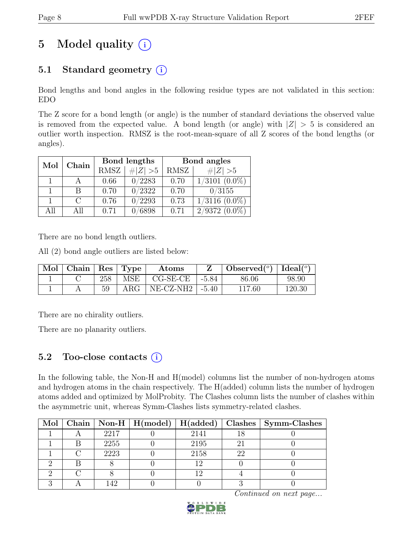# 5 Model quality  $(i)$

# 5.1 Standard geometry  $(i)$

Bond lengths and bond angles in the following residue types are not validated in this section: EDO

The Z score for a bond length (or angle) is the number of standard deviations the observed value is removed from the expected value. A bond length (or angle) with  $|Z| > 5$  is considered an outlier worth inspection. RMSZ is the root-mean-square of all Z scores of the bond lengths (or angles).

| Mol | Chain  |             | Bond lengths | Bond angles |                               |  |
|-----|--------|-------------|--------------|-------------|-------------------------------|--|
|     |        | <b>RMSZ</b> | $\# Z  > 5$  | RMSZ        | # $ Z >5$                     |  |
|     |        | 0.66        | 0/2283       | 0.70        | $1/3101$ $(0.0\%)$            |  |
|     | В      | 0.70        | 0/2322       | 0.70        | 0/3155                        |  |
|     | $\cap$ | 0.76        | 0/2293       | 0.73        | $1/3116$ $(0.0\%)$            |  |
| All | All    | 0.71        | 6898         | 0.71        | $2/93\overline{72}$ $(0.0\%)$ |  |

There are no bond length outliers.

All (2) bond angle outliers are listed below:

| $\vert$ Mol $\vert$ Chain $\vert$ Res $\vert$ Type $\vert$ |     |            | Atoms                         |         | Observed( $^{\circ}$ )   Ideal( $^{\circ}$ ) |        |
|------------------------------------------------------------|-----|------------|-------------------------------|---------|----------------------------------------------|--------|
|                                                            | 258 |            | $MSE$   $CG-SE-CE$            | $-5.84$ | 86.06                                        | 98.90  |
|                                                            |     | $\rm{ARG}$ | $\mid$ NE-CZ-NH2 $\mid$ -5.40 |         | 117.60                                       | 120.30 |

There are no chirality outliers.

There are no planarity outliers.

### 5.2 Too-close contacts  $(i)$

In the following table, the Non-H and H(model) columns list the number of non-hydrogen atoms and hydrogen atoms in the chain respectively. The H(added) column lists the number of hydrogen atoms added and optimized by MolProbity. The Clashes column lists the number of clashes within the asymmetric unit, whereas Symm-Clashes lists symmetry-related clashes.

|  |      |      |    | Mol   Chain   Non-H   H(model)   $\overline{H}$ (added)   Clashes   Symm-Clashes |
|--|------|------|----|----------------------------------------------------------------------------------|
|  | 2217 | 2141 |    |                                                                                  |
|  | 2255 | 2195 | 2. |                                                                                  |
|  | 2223 | 2158 | 22 |                                                                                  |
|  |      |      |    |                                                                                  |
|  |      | 1 വ  |    |                                                                                  |
|  |      |      |    |                                                                                  |

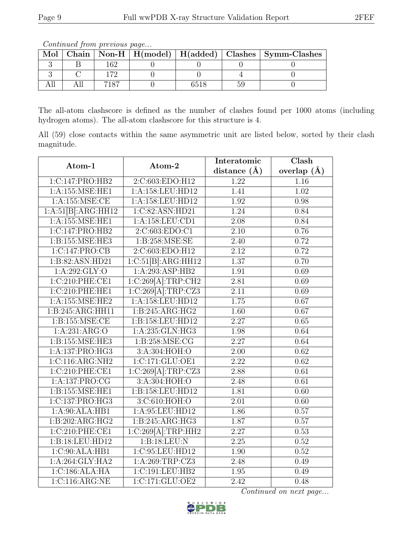The all-atom clashscore is defined as the number of clashes found per 1000 atoms (including hydrogen atoms). The all-atom clashscore for this structure is 4.

All (59) close contacts within the same asymmetric unit are listed below, sorted by their clash magnitude.

| Atom-1              | Atom-2              | Interatomic       | $\overline{\text{Clash}}$ |
|---------------------|---------------------|-------------------|---------------------------|
|                     |                     | distance $(\AA)$  | overlap $(\AA)$           |
| 1:C:147:PRO:HB2     | 2:C:603:EDO:H12     | 1.22              | 1.16                      |
| 1: A: 155: MSE: HE1 | 1:A:158:LEU:HD12    | 1.41              | $\overline{1.02}$         |
| 1: A: 155: MSE: CE  | 1:A:158:LEU:HD12    | 1.92              | 0.98                      |
| 1:A:51[B]:ARG:HH12  | 1:C:82:ASN:HD21     | 1.24              | 0.84                      |
| 1:A:155:MSE:HE1     | 1:A:158:LEU:CD1     | 2.08              | 0.84                      |
| 1:C:147:PRO:HB2     | 2:C:603:EDO:C1      | 2.10              | 0.76                      |
| 1:B:155:MSE:HE3     | 1:B:258:MSE:SE      | 2.40              | 0.72                      |
| 1:C:147:PRO:CB      | 2:C:603:EDO:H12     | 2.12              | 0.72                      |
| 1:B:82:ASN:HD21     | 1:C:51[B]:ARG:HH12  | 1.37              | 0.70                      |
| 1:A:292:GLY:O       | 1:A:293:ASP:HB2     | 1.91              | 0.69                      |
| 1:C:210:PHE:CE1     | 1:C:269[A]:TRP:CH2  | 2.81              | 0.69                      |
| 1:C:210:PHE:HE1     | 1:C:269[A]:TRP:CZ3  | $\overline{2.11}$ | 0.69                      |
| 1: A: 155: MSE: HE2 | 1:A:158:LEU:HD12    | 1.75              | 0.67                      |
| 1:B:245:ARG:HH11    | 1:B:245:ARG:HG2     | $\overline{1.60}$ | 0.67                      |
| 1: B: 155: MSE: CE  | 1:B:158:LEU:HD12    | 2.27              | 0.65                      |
| 1:A:231:ARG:O       | 1: A: 235: GLN: HG3 | 1.98              | 0.64                      |
| 1:B:155:MSE:HE3     | 1:B:258:MSE:CG      | $\overline{2.27}$ | 0.64                      |
| 1:A:137:PRO:HG3     | 3:A:304:HOH:O       | 2.00              | 0.62                      |
| 1:C:116:ARG:NH2     | 1:C:171:GLU:OE1     | $\overline{2.22}$ | 0.62                      |
| 1:C:210:PHE:CE1     | 1:C:269[A]:TRP:CZ3  | 2.88              | 0.61                      |
| 1:A:137:PRO:CG      | 3:A:304:HOH:O       | 2.48              | 0.61                      |
| 1:B:155:MSE:HE1     | 1:B:158:LEU:HD12    | 1.81              | 0.60                      |
| 1:C:137:PRO:HG3     | 3:C:610:HOH:O       | 2.01              | 0.60                      |
| 1:A:90:ALA:HB1      | 1:A:95:LEU:HD12     | 1.86              | 0.57                      |
| 1:B:202:ARG:HG2     | 1:B:245:ARG:HG3     | 1.87              | 0.57                      |
| 1:C:210:PHE:CE1     | 1:C:269[A]:TRP:HH2  | 2.27              | 0.53                      |
| 1:B:18:LEU:HD12     | 1:B:18:LEU:N        | 2.25              | 0.52                      |
| 1:C:90:ALA:HB1      | 1:C:95:LEU:HD12     | 1.90              | 0.52                      |
| 1:A:264:GLY:HA2     | 1:A:269:TRP:CZ3     | 2.48              | 0.49                      |
| 1:C:186:ALA:HA      | 1:C:191:LEU:HB2     | 1.95              | 0.49                      |
| 1:C:116:ARG:NE      | 1:C:171:GLU:OE2     | $\overline{2.42}$ | 0.48                      |



Mol Chain Non-H  $H(model)$  H(added) Clashes Symm-Clashes 3 | B | 162 | 0 | 0 | 0 | 0 3 | C | 172 | 0 | 0 | 4 | 0 All | All | 7187 | 0 | 6518 | 59 | 0

Continued from previous page...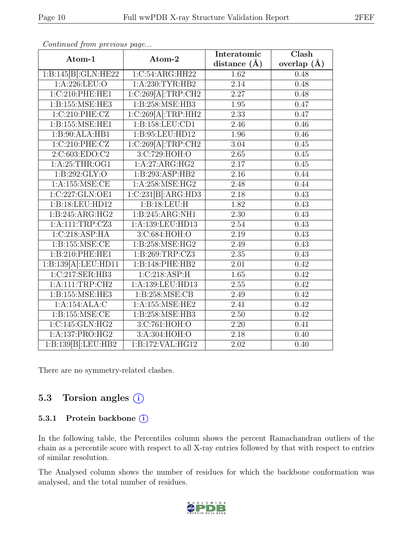| Atom-1                                     | Atom-2              | Interatomic       | $\overline{\text{Clash}}$ |
|--------------------------------------------|---------------------|-------------------|---------------------------|
|                                            |                     | distance $(\AA)$  | overlap $(A)$             |
| 1:B:145[B]:GLN:HE22                        | 1:C:54:ARG:HH22     | 1.62              | 0.48                      |
| $1: A:226:$ LEU:O                          | 1:A:230:TYR:HB2     | $\overline{2.14}$ | 0.48                      |
| 1:C:210:PHE:HE1                            | 1:C:269[A]:TRP:CH2  | 2.27              | 0.48                      |
| 1:B:155:MSE:HE3                            | 1:B:258:MSE:HB3     | 1.95              | 0.47                      |
| 1:C:210:PHE:CZ                             | 1:C:269[A]:TRP:HH2  | 2.33              | 0.47                      |
| 1:B:155:MSE:HE1                            | 1: B: 158: LEU: CD1 | 2.46              | 0.46                      |
| 1:B:90:ALA:HB1                             | 1:B:95:LEU:HD12     | 1.96              | 0.46                      |
| 1:C:210:PHE:CZ                             | 1:C:269[A]:TRP:CH2  | 3.04              | 0.45                      |
| 2:C:603:EDO:C2                             | 3:C:729:HOH:O       | $\overline{2.65}$ | 0.45                      |
| 1:A:25:THR:OG1                             | 1:A:27:ARG:HG2      | 2.17              | 0.45                      |
| 1: B: 292: GLY:O                           | 1:B:293:ASP:HB2     | 2.16              | 0.44                      |
| 1:A:155:MSE:CE                             | 1:A:258:MSE:HG2     | 2.48              | 0.44                      |
| 1:C:227:GLN:OE1                            | 1:C:231[B]:ARG:HD3  | 2.18              | 0.43                      |
| 1:B:18:LEU:HD12                            | 1:B:18:LEU:H        | 1.82              | 0.43                      |
| 1:B:245:ARG:HG2                            | 1:B:245:ARG:NH1     | 2.30              | 0.43                      |
| 1:A:111:TRP:CZ3                            | 1:A:139:LEU:HD13    | 2.54              | 0.43                      |
| 1:C:218:ASP:HA                             | 3:C:684:HOH:O       | 2.19              | 0.43                      |
| 1: B: 155: MSE: CE                         | 1:B:258:MSE:HG2     | 2.49              | 0.43                      |
| 1:B:210:PHE:HE1                            | 1:B:269:TRP:CZ3     | 2.35              | 0.43                      |
| 1:B:139[A]:LEU:HD11                        | 1:B:148:PHE:HB2     | 2.01              | 0.42                      |
| 1:C:217:SER:HB3                            | 1:C:218:ASP:H       | $\overline{1.65}$ | 0.42                      |
| 1:A:111:TRP:CH2                            | 1:A:139:LEU:HD13    | 2.55              | 0.42                      |
| 1:B:155:MSE:HE3                            | 1:B:258:MSE:CB      | 2.49              | 0.42                      |
| 1:A:154:ALA:C                              | 1:A:155:MSE:HE2     | 2.41              | 0.42                      |
| 1: B: 155: MSE: CE                         | 1:B:258:MSE:HB3     | 2.50              | 0.42                      |
| 1:C:145:GLN:HG2                            | 3:C:761:HOH:O       | 2.20              | 0.41                      |
| 1:A:137:PRO:HG2                            | 3:A:304:HOH:O       | 2.18              | 0.40                      |
| $1:B:139[B]\cdot\overline{\text{LEU:HB2}}$ | 1:B:172:VAL:HG12    | 2.02              | 0.40                      |

Continued from previous page...

There are no symmetry-related clashes.

### 5.3 Torsion angles  $(i)$

#### 5.3.1 Protein backbone (i)

In the following table, the Percentiles column shows the percent Ramachandran outliers of the chain as a percentile score with respect to all X-ray entries followed by that with respect to entries of similar resolution.

The Analysed column shows the number of residues for which the backbone conformation was analysed, and the total number of residues.

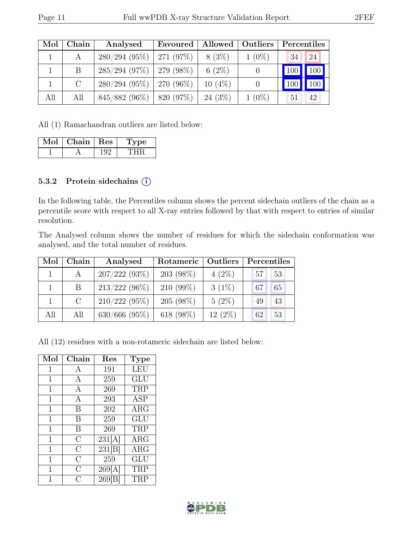| Mol | Chain         | Analysed                      | Favoured | Allowed   Outliers |          |     | Percentiles |
|-----|---------------|-------------------------------|----------|--------------------|----------|-----|-------------|
|     | A             | $280/294$ (95%)   271 (97%)   |          | $8(3\%)$           | $1(0\%)$ | 34  | 24          |
|     | B             | $285/294$ (97%)   279 (98%)   |          | 6 $(2\%)$          |          | 100 | $\vert$ 100 |
|     | $\mathcal{C}$ | $280/294$ (95%)   270 (96%)   |          | $10(4\%)$          |          |     | 100         |
| All | All           | $845/882$ (96\%)   820 (97\%) |          | $24(3\%)$          | $1(0\%)$ | 51  | 42          |

All (1) Ramachandran outliers are listed below:

| Mol | Chain | Res | 'oe |  |
|-----|-------|-----|-----|--|
|     |       |     |     |  |

#### 5.3.2 Protein sidechains  $(i)$

In the following table, the Percentiles column shows the percent sidechain outliers of the chain as a percentile score with respect to all X-ray entries followed by that with respect to entries of similar resolution.

The Analysed column shows the number of residues for which the sidechain conformation was analysed, and the total number of residues.

| Mol | Chain | Analysed           | Rotameric   | Outliers  |    | Percentiles |
|-----|-------|--------------------|-------------|-----------|----|-------------|
|     |       | 207/222(93%)       | $203(98\%)$ | $4(2\%)$  | 57 | 53          |
|     | B     | $213/222(96\%)$    | $210(99\%)$ | $3(1\%)$  | 67 | 65          |
|     | C     | $210/222(95\%)$    | 205(98%)    | $5(2\%)$  | 49 | 43          |
| All | All   | $630/666$ $(95\%)$ | 618 (98%)   | $12(2\%)$ | 62 | 53          |

All (12) residues with a non-rotameric sidechain are listed below:

| Mol         | Chain          | Res    | <b>Type</b> |
|-------------|----------------|--------|-------------|
| 1           | A              | 191    | LEU         |
| $\mathbf 1$ | А              | 259    | GLU         |
| 1           | А              | 269    | TRP         |
| 1           | A              | 293    | <b>ASP</b>  |
| $\mathbf 1$ | B              | 202    | $\rm{ARG}$  |
| 1           | В              | 259    | GLU         |
| 1           | B              | 269    | TRP         |
| $\mathbf 1$ | $\overline{C}$ | 231[A] | $\rm{ARG}$  |
| 1           | $\overline{C}$ | 231[B] | $\rm{ARG}$  |
| 1           | $\overline{C}$ | 259    | GLU         |
| 1           | С              | 269[A] | TRP         |
| 1           | $\overline{C}$ | 269 B  | TRP         |

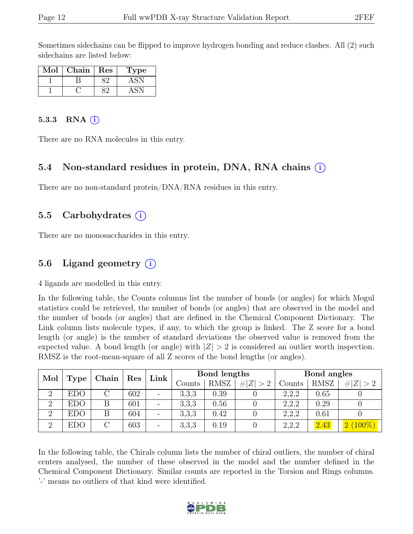Sometimes sidechains can be flipped to improve hydrogen bonding and reduce clashes. All (2) such sidechains are listed below:

| Mol | Chain | $\operatorname{Res}% \left( \mathcal{N}\right) \equiv\operatorname*{Res}\left( \mathcal{N}\right)$ | ype |
|-----|-------|----------------------------------------------------------------------------------------------------|-----|
|     |       |                                                                                                    |     |
|     |       |                                                                                                    |     |

#### 5.3.3 RNA  $(i)$

There are no RNA molecules in this entry.

#### 5.4 Non-standard residues in protein, DNA, RNA chains (i)

There are no non-standard protein/DNA/RNA residues in this entry.

#### 5.5 Carbohydrates (i)

There are no monosaccharides in this entry.

#### 5.6 Ligand geometry  $(i)$

4 ligands are modelled in this entry.

In the following table, the Counts columns list the number of bonds (or angles) for which Mogul statistics could be retrieved, the number of bonds (or angles) that are observed in the model and the number of bonds (or angles) that are defined in the Chemical Component Dictionary. The Link column lists molecule types, if any, to which the group is linked. The Z score for a bond length (or angle) is the number of standard deviations the observed value is removed from the expected value. A bond length (or angle) with  $|Z| > 2$  is considered an outlier worth inspection. RMSZ is the root-mean-square of all Z scores of the bond lengths (or angles).

| Mol            |            | Chain | $\operatorname{Res}$ | $\pm$ Link $^+$          |        | Bond lengths |         |        | Bond angles |                 |
|----------------|------------|-------|----------------------|--------------------------|--------|--------------|---------|--------|-------------|-----------------|
|                | Type       |       |                      |                          | Counts | <b>RMSZ</b>  | Z   > 2 | Counts | RMSZ        | # $ Z  > 2$     |
| $\overline{2}$ | <b>EDO</b> |       | 602                  | $\overline{\phantom{0}}$ | 3,3,3  | 0.39         |         | 2.2.2  | $\rm 0.65$  |                 |
| $\Omega$       | <b>EDO</b> |       | 601                  |                          | 3,3,3  | 0.56         |         | 2,2,2  | 0.29        |                 |
| $\overline{2}$ | <b>EDO</b> |       | 604                  | $\overline{\phantom{0}}$ | 3,3,3  | 0.42         |         | 2,2,2  | 0.61        |                 |
| 2              | <b>EDO</b> |       | 603                  | $\overline{\phantom{0}}$ | 3,3,3  | 0.19         |         | 2,2,2  | 2.43        | $(100\%)$<br> 2 |

In the following table, the Chirals column lists the number of chiral outliers, the number of chiral centers analysed, the number of these observed in the model and the number defined in the Chemical Component Dictionary. Similar counts are reported in the Torsion and Rings columns. '-' means no outliers of that kind were identified.

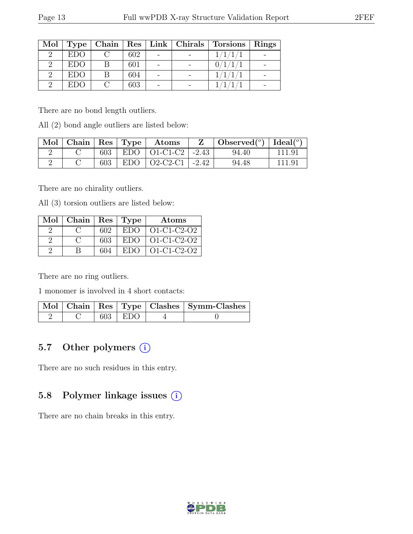| Mol |            |     |  | Type   Chain   Res   Link   Chirals   Torsions | Rings |
|-----|------------|-----|--|------------------------------------------------|-------|
|     | <b>EDO</b> | 602 |  | 1/1/1                                          |       |
|     | EDO        | 601 |  |                                                |       |
|     | EDO        | 604 |  |                                                |       |
|     | EDO        | 603 |  |                                                |       |

There are no bond length outliers.

All (2) bond angle outliers are listed below:

| Mol |     | $ $ Chain $ $ Res $ $ Type $ $ Atoms | Z | $\vert$ Observed $\vert$ <sup>o</sup> ) $\vert$ Ideal $\vert$ <sup>o</sup> ) |        |
|-----|-----|--------------------------------------|---|------------------------------------------------------------------------------|--------|
|     | 603 | $EDO   O1-C1-C2   -2.43$             |   | 94.40                                                                        | 111.91 |
|     | 603 | $EDO$   O2-C2-C1   -2.42             |   | 94.48                                                                        | 111.9  |

There are no chirality outliers.

All (3) torsion outliers are listed below:

| $Mol$   Chain   Res   Type |     |                 | Atoms               |
|----------------------------|-----|-----------------|---------------------|
|                            | 602 | <b>EDO</b>      | $O1-C1-C2-O2$       |
|                            | 603 | EDO <sub></sub> | $O1-C1-C2-O2$       |
|                            | 604 | EDO.            | $O1 - C1 - C2 - O2$ |

There are no ring outliers.

1 monomer is involved in 4 short contacts:

|  |             | Mol   Chain   Res   Type   Clashes   Symm-Clashes |
|--|-------------|---------------------------------------------------|
|  | $603$   EDO |                                                   |

### 5.7 Other polymers (i)

There are no such residues in this entry.

### 5.8 Polymer linkage issues (i)

There are no chain breaks in this entry.

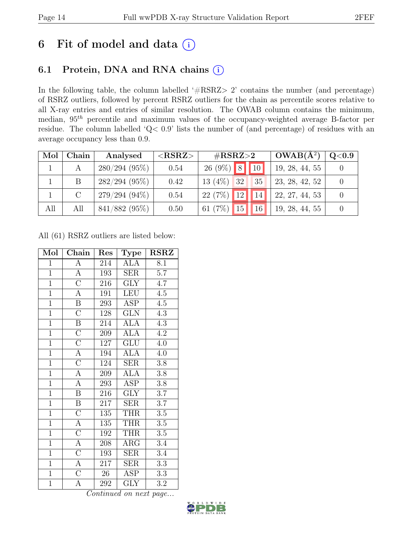# 6 Fit of model and data  $(i)$

## 6.1 Protein, DNA and RNA chains  $(i)$

In the following table, the column labelled ' $\#\text{RSRZ}>2$ ' contains the number (and percentage) of RSRZ outliers, followed by percent RSRZ outliers for the chain as percentile scores relative to all X-ray entries and entries of similar resolution. The OWAB column contains the minimum, median,  $95<sup>th</sup>$  percentile and maximum values of the occupancy-weighted average B-factor per residue. The column labelled 'Q< 0.9' lists the number of (and percentage) of residues with an average occupancy less than 0.9.

| Mol | Chain         | Analysed        | ${ <\hspace{-1.5pt}{\mathrm{RSRZ}} \hspace{-1.5pt}>}$ | $\rm \#RSRZ{>}2$                     | $OWAB(A^2)$    | $\rm Q\textcolor{black}{<}0.9$ |
|-----|---------------|-----------------|-------------------------------------------------------|--------------------------------------|----------------|--------------------------------|
|     |               | 280/294(95%)    | 0.54                                                  | $26 (9\%)$ 8 10                      | 19, 28, 44, 55 |                                |
|     | B             | $282/294(95\%)$ | 0.42                                                  | $13(4\%)$<br>32<br>35                | 23, 28, 42, 52 |                                |
|     | $\mathcal{C}$ | $279/294(94\%)$ | 0.54                                                  | $22(7%)$ 12<br>14                    | 22, 27, 44, 53 |                                |
| All | All           | 841/882 (95%)   | 0.50                                                  | 15 <br>61 $(7\%)$<br>16 <sup>°</sup> | 19, 28, 44, 55 |                                |

All (61) RSRZ outliers are listed below:

| Mol            | Chain                   | Res              | Type                    | <b>RSRZ</b>      |
|----------------|-------------------------|------------------|-------------------------|------------------|
| $\mathbf{1}$   | А                       | 214              | ALA                     | 8.1              |
| $\mathbf{1}$   | $\overline{A}$          | 193              | <b>SER</b>              | 5.7              |
| $\mathbf{1}$   | $\overline{\mathrm{C}}$ | 216              | <b>GLY</b>              | 4.7              |
| $\overline{1}$ | $\overline{A}$          | 191              | <b>LEU</b>              | $\overline{4.5}$ |
| $\overline{1}$ | $\overline{\mathbf{B}}$ | 293              | <b>ASP</b>              | 4.5              |
| $\overline{1}$ | $\overline{\rm C}$      | $\overline{128}$ | $\overline{\text{GLN}}$ | $\overline{4.3}$ |
| $\overline{1}$ | $\overline{\mathbf{B}}$ | 214              | <b>ALA</b>              | 4.3              |
| $\overline{1}$ | $\overline{\rm C}$      | 209              | <b>ALA</b>              | 4.2              |
| $\overline{1}$ | $\overline{\rm C}$      | 127              | $\overline{\text{GLU}}$ | 4.0              |
| $\overline{1}$ | $\overline{A}$          | 194              | <b>ALA</b>              | 4.0              |
| $\overline{1}$ | $\overline{\rm C}$      | 124              | <b>SER</b>              | 3.8              |
| $\mathbf{1}$   | A                       | 209              | ALA                     | $3.8\,$          |
| $\overline{1}$ | $\boldsymbol{A}$        | 293              | <b>ASP</b>              | $3.8\,$          |
| $\overline{1}$ | $\overline{\mathbf{B}}$ | 216              | <b>GLY</b>              | $3.7\,$          |
| $\overline{1}$ | $\, {\bf B}$            | 217              | <b>SER</b>              | $3.7\,$          |
| $\overline{1}$ | $\overline{\rm C}$      | 135              | <b>THR</b>              | $\overline{3.5}$ |
| $\overline{1}$ | $\overline{A}$          | 135              | <b>THR</b>              | $3.5\,$          |
| $\overline{1}$ | $\overline{\rm C}$      | 192              | <b>THR</b>              | $3.5\,$          |
| $\overline{1}$ | $\overline{A}$          | 208              | $\rm{ARG}$              | 3.4              |
| $\overline{1}$ | $\overline{C}$          | 193              | $\overline{\text{SER}}$ | 3.4              |
| $\overline{1}$ | $\overline{A}$          | 217              | SER                     | 3.3              |
| $\mathbf{1}$   | $\overline{C}$          | $26\,$           | ASP                     | 3.3              |
| $\mathbf{1}$   | $\overline{\rm A}$      | 292              | <b>GLY</b>              | 3.2              |

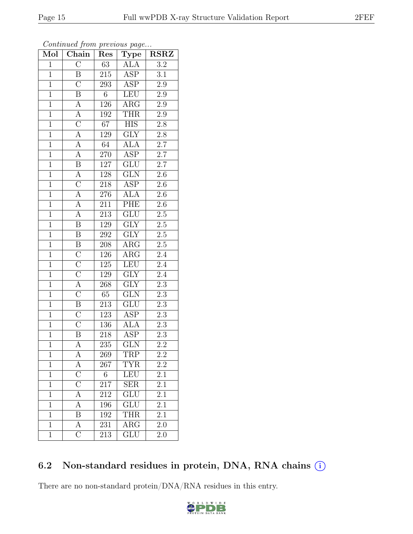| 2.9              |  |
|------------------|--|
| $2.9\,$          |  |
| 2.8              |  |
| 2.8              |  |
| 2.7              |  |
| $\overline{2.7}$ |  |
| $2.7\,$          |  |
| 2.6              |  |
| $2.6\,$          |  |
| 2.6              |  |

Continued from previous page...

Mol | Chain | Res | Type | RSRZ  $1 \mid C \mid 63 \mid ALA \mid 3.2$ 1 B 215 ASP 3.1

| $\mathbf 1$    | $\mathcal{C}$                                                              | 293              | ASP                     | $2.9\,$          |
|----------------|----------------------------------------------------------------------------|------------------|-------------------------|------------------|
| $\overline{1}$ | $\overline{\mathbf{B}}$                                                    | $\,6\,$          | LEU                     | $2.9\,$          |
| $\overline{1}$ |                                                                            | $\overline{126}$ | $\overline{\rm{ARG}}$   | $\overline{2.9}$ |
| $\overline{1}$ | $\frac{\overline{A}}{\overline{A}}$ $\frac{\overline{C}}{\overline{A}}$    | 192              | <b>THR</b>              | $2.9\,$          |
| $\overline{1}$ |                                                                            | $\overline{67}$  | <b>HIS</b>              | $\overline{2.8}$ |
| $\overline{1}$ |                                                                            | 129              | $\overline{\text{GLY}}$ | $2.8\,$          |
| $\overline{1}$ | $\overline{A}$                                                             | $64$             | <b>ALA</b>              | $\overline{2.7}$ |
| $\overline{1}$ | $\overline{A}$                                                             | <b>270</b>       | <b>ASP</b>              | $\overline{2.7}$ |
| $\overline{1}$ | $\overline{\mathbf{B}}$                                                    | $\overline{127}$ | $\overline{\text{GLU}}$ | $\overline{2.7}$ |
| $\overline{1}$ | $\overline{A}$                                                             | $\overline{128}$ | $\overline{\text{GLN}}$ | 2.6              |
| $\overline{1}$ | $\overline{C}$                                                             | 218              | ASP                     | $\overline{2.6}$ |
| $\overline{1}$ | $\frac{\overline{A}}{\overline{A}}$                                        | 276              | <b>ALA</b>              | $2.6\,$          |
| $\overline{1}$ |                                                                            | $\overline{211}$ | PHE                     | $\overline{2.6}$ |
| $\overline{1}$ | $\overline{A}$                                                             | $2\overline{13}$ | GLU                     | $\overline{2.5}$ |
| $\overline{1}$ | $\overline{\mathbf{B}}$                                                    | 129              | $\overline{\text{GLY}}$ | $\overline{2.5}$ |
| $\overline{1}$ | $\overline{B}$                                                             | $\,292$          | GLY                     | $\overline{2.5}$ |
| $\overline{1}$ | $\overline{B}$                                                             | 208              | $\overline{\text{ARG}}$ | $\overline{2.5}$ |
| $\overline{1}$ | $\overline{C}$                                                             | $\overline{126}$ | $\overline{\rm{ARG}}$   | $\overline{2.4}$ |
| $\overline{1}$ |                                                                            | $\overline{1}25$ | LEU                     | $\overline{2.4}$ |
| $\overline{1}$ | $\frac{\overline{C}}{\overline{C}}$<br>$\frac{\overline{A}}{\overline{C}}$ | <b>129</b>       | $\overline{\text{GLY}}$ | $\overline{2.4}$ |
| $\overline{1}$ |                                                                            | 268              | $\overline{\text{GLY}}$ | $\overline{2.3}$ |
| $\overline{1}$ |                                                                            | $\overline{65}$  | $\overline{\text{GLN}}$ | $\overline{2.3}$ |
| $\overline{1}$ | $\overline{\mathbf{B}}$                                                    | 213              | $\overline{\text{GLU}}$ | $\overline{2.3}$ |
| $\overline{1}$ | $\overline{C}$                                                             | $123\,$          | <b>ASP</b>              | $\overline{2.3}$ |
| $\overline{1}$ | $\overline{\rm C}$                                                         | 136              | <b>ALA</b>              | $\overline{2.3}$ |
| $\overline{1}$ | $\overline{\mathrm{B}}$                                                    | 218              | ASP                     | $\overline{2.3}$ |
| $\overline{1}$ | $\overline{A}$                                                             | $2\overline{35}$ | $\overline{\text{GLN}}$ | $\overline{2.2}$ |
| $\overline{1}$ | $\overline{A}$                                                             | 269              | <b>TRP</b>              | $\overline{2.2}$ |
| $\overline{1}$ | $\overline{A}$                                                             | 267              | <b>TYR</b>              | $2.2\,$          |
| $\overline{1}$ | $\overline{C}$                                                             | $\overline{6}$   | LEU                     | $\overline{2.1}$ |
| $\overline{1}$ |                                                                            | $\overline{217}$ | SER                     | $\overline{2.1}$ |
| 1              | $\overline{\rm A}$                                                         | 212              | $\overline{\text{GLU}}$ | 2.1              |
| $\mathbf{1}$   | А                                                                          | 196              | GLU                     | 2.1              |
| $\mathbf 1$    | B                                                                          | 192              | <b>THR</b>              | 2.1              |
| $\mathbf{1}$   | $\overline{A}$                                                             | 231              | $\rm{ARG}$              | 2.0              |
| $\mathbf{1}$   | $\overline{C}$                                                             | 213              | <b>GLU</b>              | 2.0              |
|                |                                                                            |                  |                         |                  |

### 6.2 Non-standard residues in protein, DNA, RNA chains  $(i)$

There are no non-standard protein/DNA/RNA residues in this entry.